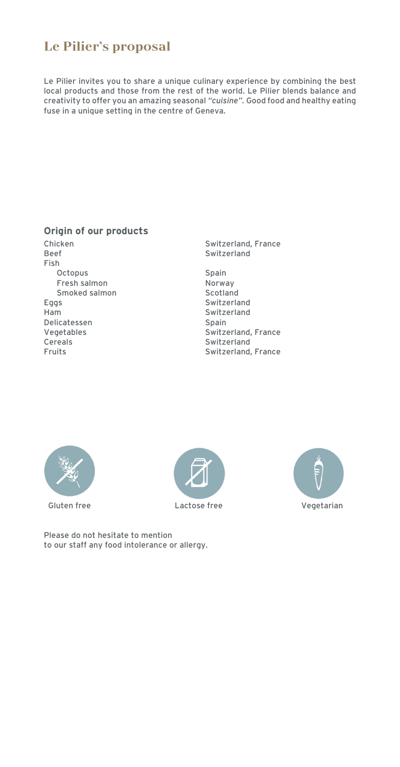## **Le Pilier's proposal**

Le Pilier invites you to share a unique culinary experience by combining the best local products and those from the rest of the world. Le Pilier blends balance and creativity to offer you an amazing seasonal *"cuisine".* Good food and healthy eating fuse in a unique setting in the centre of Geneva.

#### **Origin of our products**

Fish Octopus Spain Fresh salmon Norway Smoked salmon<br>Eggs Ham Switzerland Delicatessen Spain Cereals Switzerland<br>
Fruits Switzerland<br>
Switzerland

Chicken Switzerland, France Switzerland

Switzerland Vegetables Switzerland, France Switzerland, France







Please do not hesitate to mention to our staff any food intolerance or allergy.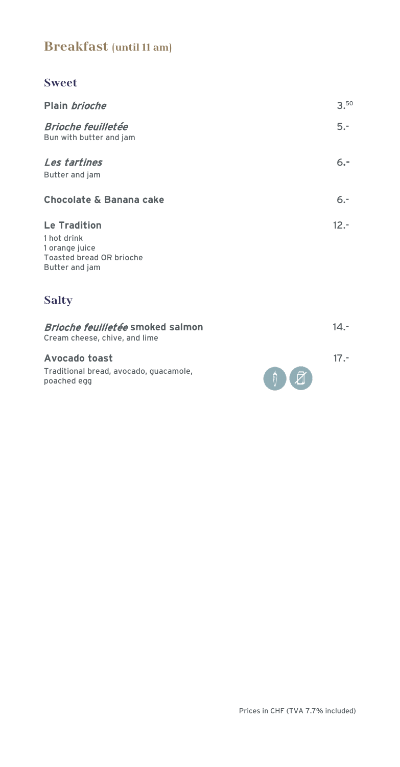## **Breakfast (until 11 am)**

#### **Sweet**

| Plain <i>brioche</i>                                                                               | 3.50    |
|----------------------------------------------------------------------------------------------------|---------|
| <b>Brioche feuilletée</b><br>Bun with butter and jam                                               | $5. -$  |
| Les tartines<br>Butter and jam                                                                     | $6. -$  |
| <b>Chocolate &amp; Banana cake</b>                                                                 | $6. -$  |
| <b>Le Tradition</b><br>1 hot drink<br>1 orange juice<br>Toasted bread OR brioche<br>Butter and jam | $12. -$ |

# **Salty**

| <i>Brioche feuilletée</i> smoked salmon<br>Cream cheese, chive, and lime      |                                                                | 14.- |
|-------------------------------------------------------------------------------|----------------------------------------------------------------|------|
| <b>Avocado toast</b><br>Traditional bread, avocado, quacamole,<br>poached egg | $\left(\begin{array}{c} \bullet \\ \bullet \end{array}\right)$ |      |

Prices in CHF (TVA 7.7% included)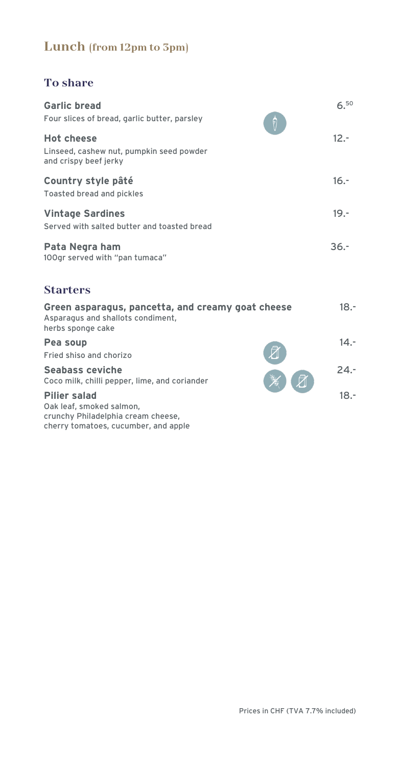### **Lunch (from 12pm to 3pm)**

#### **To share**

| <b>Garlic bread</b><br>Four slices of bread, garlic butter, parsley                    | $6^{50}$ |
|----------------------------------------------------------------------------------------|----------|
| <b>Hot cheese</b><br>Linseed, cashew nut, pumpkin seed powder<br>and crispy beef jerky | $12 -$   |
| Country style pâté<br>Toasted bread and pickles                                        | $16. -$  |
| <b>Vintage Sardines</b><br>Served with salted butter and toasted bread                 | $19. -$  |
| Pata Negra ham<br>100gr served with "pan tumaca"                                       | $36 -$   |
| <b>Starters</b>                                                                        |          |
| Green asparagus, pancetta, and creamy goat cheese                                      | 18.-     |

Asparagus and shallots condiment, herbs sponge cake

| Pea soup                |          |  |
|-------------------------|----------|--|
| Fried shiso and chorizo | <b>团</b> |  |

Seabass ceviche **24.-**<br>Coco milk, chilli pepper, lime, and coriander **24.-**Coco milk, chilli pepper, lime, and coriander

#### **Pilier salad** 18.-

Oak leaf, smoked salmon, crunchy Philadelphia cream cheese, cherry tomatoes, cucumber, and apple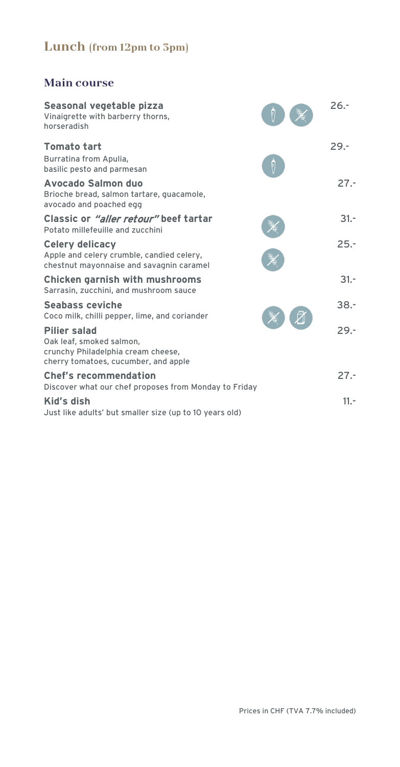# **Lunch (from 12pm to 3pm)**

### **Main course**

| Seasonal vegetable pizza<br>Vinaigrette with barberry thorns,<br>horseradish                                                  |   | $26 -$  |
|-------------------------------------------------------------------------------------------------------------------------------|---|---------|
| <b>Tomato tart</b><br>Burratina from Apulia,<br>basilic pesto and parmesan                                                    | F | $29. -$ |
| Avocado Salmon duo<br>Brioche bread, salmon tartare, quacamole,<br>avocado and poached egg                                    |   | $27 -$  |
| Classic or "aller retour" beef tartar<br>Potato millefeuille and zucchini                                                     |   | $31 -$  |
| <b>Celery delicacy</b><br>Apple and celery crumble, candied celery,<br>chestnut mayonnaise and savagnin caramel               |   | $25. -$ |
| <b>Chicken garnish with mushrooms</b><br>Sarrasin, zucchini, and mushroom sauce                                               |   | $31 -$  |
| <b>Seabass ceviche</b><br>Coco milk, chilli pepper, lime, and coriander                                                       |   | $38. -$ |
| <b>Pilier salad</b><br>Oak leaf, smoked salmon,<br>crunchy Philadelphia cream cheese,<br>cherry tomatoes, cucumber, and apple |   | $29. -$ |
| <b>Chef's recommendation</b><br>Discover what our chef proposes from Monday to Friday                                         |   | $27. -$ |
| Kid's dish<br>Just like adults' but smaller size (up to 10 years old)                                                         |   | $11. -$ |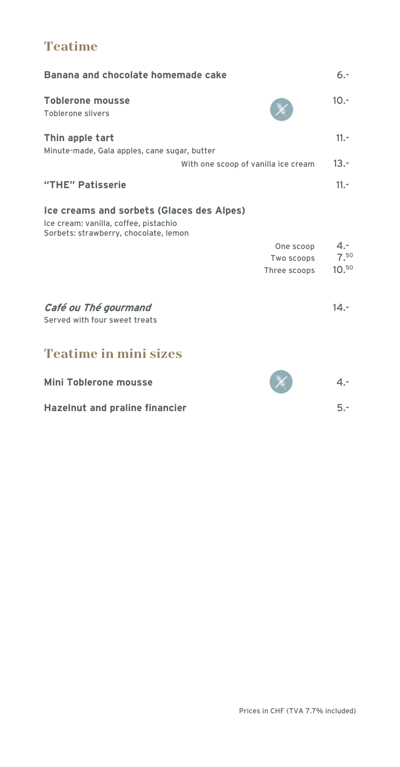## **Teatime**

| Banana and chocolate homemade cake                                                                                          | $6. -$                    |
|-----------------------------------------------------------------------------------------------------------------------------|---------------------------|
| <b>Toblerone mousse</b><br><b>Toblerone slivers</b>                                                                         | $10. -$                   |
| Thin apple tart<br>Minute-made, Gala apples, cane sugar, butter                                                             | $11. -$                   |
| With one scoop of vanilla ice cream                                                                                         | $13. -$                   |
| "THE" Patisserie                                                                                                            | $11. -$                   |
| Ice creams and sorbets (Glaces des Alpes)<br>Ice cream: vanilla, coffee, pistachio<br>Sorbets: strawberry, chocolate, lemon |                           |
| One scoop                                                                                                                   | $4. -$                    |
| Two scoops                                                                                                                  | 7.50<br>10. <sup>50</sup> |
| Three scoops                                                                                                                |                           |
| Café ou Thé gourmand<br>Served with four sweet treats                                                                       | $14 -$                    |
| <b>Teatime in mini sizes</b>                                                                                                |                           |
| <b>Mini Toblerone mousse</b>                                                                                                | $4 -$                     |
| <b>Hazelnut and praline financier</b>                                                                                       | $5. -$                    |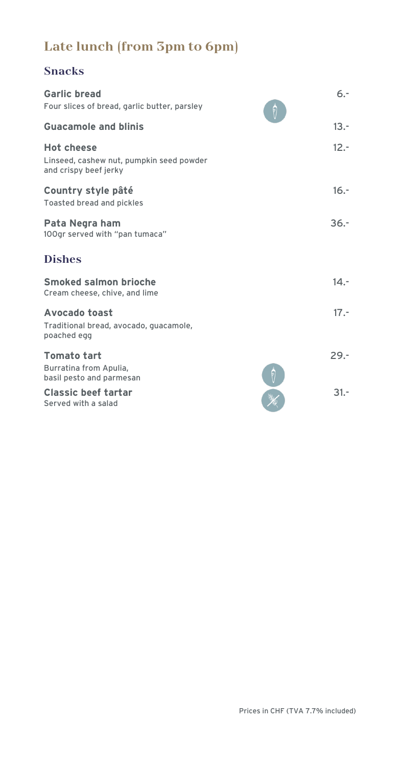# **Late lunch (from 3pm to 6pm)**

### **Snacks**

| <b>Garlic bread</b><br>Four slices of bread, garlic butter, parsley                    | $6. -$<br>F |
|----------------------------------------------------------------------------------------|-------------|
| <b>Guacamole and blinis</b>                                                            | $13. -$     |
| <b>Hot cheese</b><br>Linseed, cashew nut, pumpkin seed powder<br>and crispy beef jerky | $12. -$     |
| Country style pâté<br>Toasted bread and pickles                                        | $16. -$     |
| Pata Negra ham<br>100gr served with "pan tumaca"                                       | $36. -$     |
| <b>Dishes</b>                                                                          |             |
| Smoked salmon brioche<br>Cream cheese, chive, and lime                                 | $14 -$      |
| <b>Avocado toast</b><br>Traditional bread, avocado, guacamole,<br>poached egg          | $17. -$     |
| <b>Tomato tart</b>                                                                     | $29. -$     |
| Burratina from Apulia,<br>basil pesto and parmesan                                     |             |
| Classic beef tartar<br>Served with a salad                                             | $31 -$      |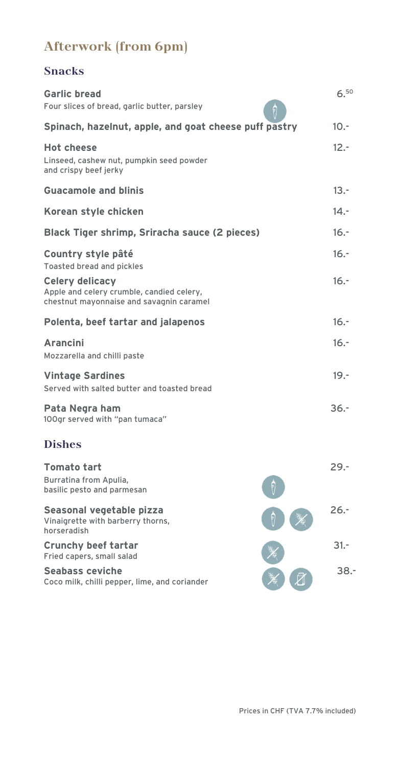# **Afterwork (from 6pm)**

### **Snacks**

| <b>Garlic bread</b><br>Four slices of bread, garlic butter, parsley                                             | 6.50    |
|-----------------------------------------------------------------------------------------------------------------|---------|
| Spinach, hazelnut, apple, and goat cheese puff pastry                                                           | 10.5    |
| <b>Hot cheese</b><br>Linseed, cashew nut, pumpkin seed powder<br>and crispy beef jerky                          | $12 -$  |
| <b>Guacamole and blinis</b>                                                                                     | $13. -$ |
| Korean style chicken                                                                                            | $14. -$ |
| Black Tiger shrimp, Sriracha sauce (2 pieces)                                                                   | $16. -$ |
| Country style pâté<br>Toasted bread and pickles                                                                 | $16. -$ |
| <b>Celery delicacy</b><br>Apple and celery crumble, candied celery,<br>chestnut mayonnaise and savagnin caramel | $16. -$ |
| Polenta, beef tartar and jalapenos                                                                              | $16. -$ |
| <b>Arancini</b><br>Mozzarella and chilli paste                                                                  | $16. -$ |
| <b>Vintage Sardines</b><br>Served with salted butter and toasted bread                                          | $19. -$ |
| Pata Negra ham<br>100gr served with "pan tumaca"                                                                | $36. -$ |
| <b>Dishes</b>                                                                                                   |         |
| <b>Tomato tart</b><br>Burratina from Apulia,<br>basilic pesto and parmesan                                      | $29. -$ |
| Seasonal vegetable pizza<br>Vinaigrette with barberry thorns,<br>horseradish                                    | $26. -$ |
| <b>Crunchy beef tartar</b><br>Fried capers, small salad                                                         | $31 -$  |
| <b>Seabass ceviche</b><br>Coco milk, chilli pepper, lime, and coriander                                         | $38. -$ |

Prices in CHF (TVA 7.7% included)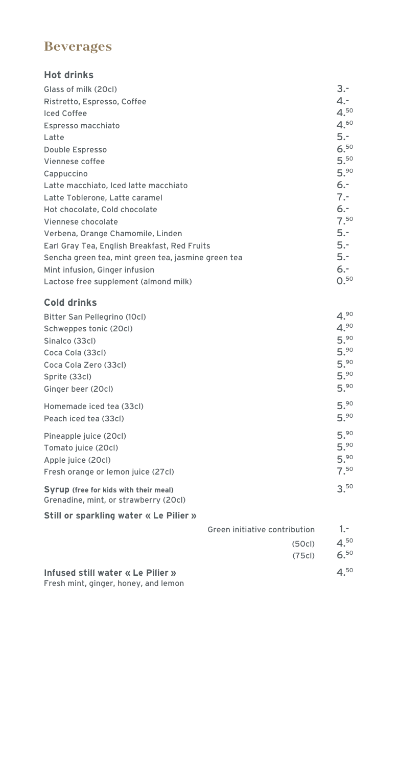#### **Beverages**

#### **Hot drinks**

| Glass of milk (20cl)                                | $3 -$    |
|-----------------------------------------------------|----------|
| Ristretto, Espresso, Coffee                         | $4. -$   |
| <b>Iced Coffee</b>                                  | 4.50     |
| Espresso macchiato                                  | 4.60     |
| Latte                                               | $5. -$   |
| Double Espresso                                     | 6.50     |
| Viennese coffee                                     | 5.50     |
| Cappuccino                                          | 5.90     |
| Latte macchiato, Iced latte macchiato               | 6.-      |
| Latte Toblerone, Latte caramel                      | $7. -$   |
| Hot chocolate, Cold chocolate                       | $6. -$   |
| Viennese chocolate                                  | $7^{50}$ |
| Verbena, Orange Chamomile, Linden                   | $5. -$   |
| Earl Gray Tea, English Breakfast, Red Fruits        | 5.-      |
| Sencha green tea, mint green tea, jasmine green tea | 5.-      |
| Mint infusion, Ginger infusion                      | 6.-      |
| Lactose free supplement (almond milk)               | 0.50     |
|                                                     |          |

#### **Cold drinks**

| Bitter San Pellegrino (10cl)          | 4.90     |
|---------------------------------------|----------|
| Schweppes tonic (20cl)                | 4.90     |
| Sinalco (33cl)                        | 5.90     |
| Coca Cola (33cl)                      | 5.90     |
| Coca Cola Zero (33cl)                 | 5.90     |
| Sprite (33cl)                         | 5.90     |
| Ginger beer (20cl)                    | 5.90     |
| Homemade iced tea (33cl)              | 5.90     |
| Peach iced tea (33cl)                 | 5.90     |
| Pineapple juice (20cl)                | 5.90     |
| Tomato juice (20cl)                   | 5.90     |
| Apple juice (20cl)                    | 5.90     |
| Fresh orange or lemon juice (27cl)    | $7^{50}$ |
| Syrup (free for kids with their meal) | 3.50     |

#### Grenadine, mint, or strawberry (20cl)

#### **Still or sparkling water « Le Pilier »**

| $1 -$    | Green initiative contribution |
|----------|-------------------------------|
| $4^{50}$ | (50c)                         |
| $6^{50}$ | (75c)                         |
| $4^{50}$ |                               |

**Infused still water « Le Pilier »** Fresh mint, ginger, honey, and lemon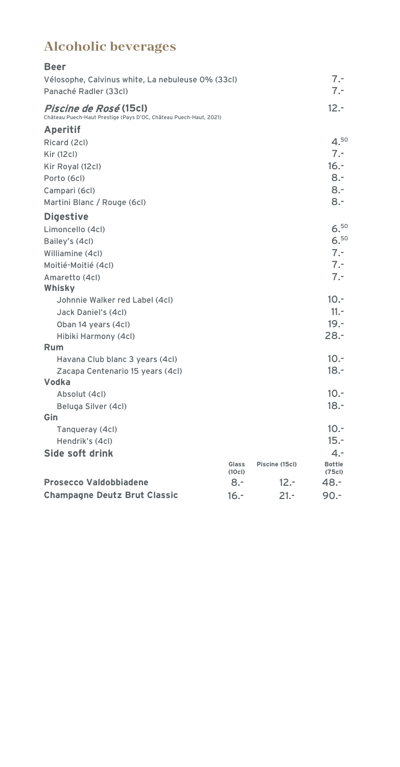# **Alcoholic beverages**

| <b>Beer</b>                                                                                        |                |                |                        |
|----------------------------------------------------------------------------------------------------|----------------|----------------|------------------------|
| Vélosophe, Calvinus white, La nebuleuse 0% (33cl)                                                  |                |                | $7. -$                 |
| Panaché Radler (33cl)                                                                              |                |                | $7. -$                 |
| <i>Piscine de Rosé</i> (15cl)<br>Château Puech-Haut Prestige (Pays D'OC, Château Puech-Haut, 2021) |                |                | $12.-$                 |
| Aperitif                                                                                           |                |                |                        |
| Ricard (2cl)                                                                                       |                |                | 4.50                   |
| Kir (12cl)                                                                                         |                |                | $7. -$                 |
| Kir Royal (12cl)                                                                                   |                |                | $16. -$                |
| Porto (6cl)                                                                                        |                |                | $8 -$                  |
| Campari (6cl)                                                                                      |                |                | $8 -$                  |
| Martini Blanc / Rouge (6cl)                                                                        |                |                | $8 -$                  |
| <b>Digestive</b>                                                                                   |                |                |                        |
| Limoncello (4cl)                                                                                   |                |                | 6.50                   |
| Bailey's (4cl)                                                                                     |                |                | 6.50                   |
| Williamine (4cl)                                                                                   |                |                | $7 -$                  |
| Moitié-Moitié (4cl)                                                                                |                |                | $7. -$                 |
| Amaretto (4cl)                                                                                     |                |                | $7. -$                 |
| Whisky                                                                                             |                |                |                        |
| Johnnie Walker red Label (4cl)                                                                     |                |                | $10. -$                |
| Jack Daniel's (4cl)                                                                                |                |                | $11. -$                |
| Oban 14 years (4cl)                                                                                |                |                | $19. -$                |
| Hibiki Harmony (4cl)                                                                               |                |                | $28. -$                |
| Rum                                                                                                |                |                |                        |
| Havana Club blanc 3 years (4cl)                                                                    |                |                | $10.-$                 |
| Zacapa Centenario 15 years (4cl)                                                                   |                |                | $18. -$                |
| Vodka                                                                                              |                |                |                        |
| Absolut (4cl)                                                                                      |                |                | $10. -$                |
| Beluga Silver (4cl)                                                                                |                |                | $18. -$                |
| Gin                                                                                                |                |                |                        |
| Tanqueray (4cl)                                                                                    |                |                | $10. -$                |
| Hendrik's (4cl)                                                                                    |                |                | $15. -$                |
| Side soft drink                                                                                    |                |                | $4. -$                 |
|                                                                                                    | Glass<br>(10c) | Piscine (15cl) | <b>Bottle</b><br>(75c) |
| <b>Prosecco Valdobbiadene</b>                                                                      | 8.5            | $12 -$         | 48.-                   |
| <b>Champagne Deutz Brut Classic</b>                                                                | $16. -$        | 21.-           | $90. -$                |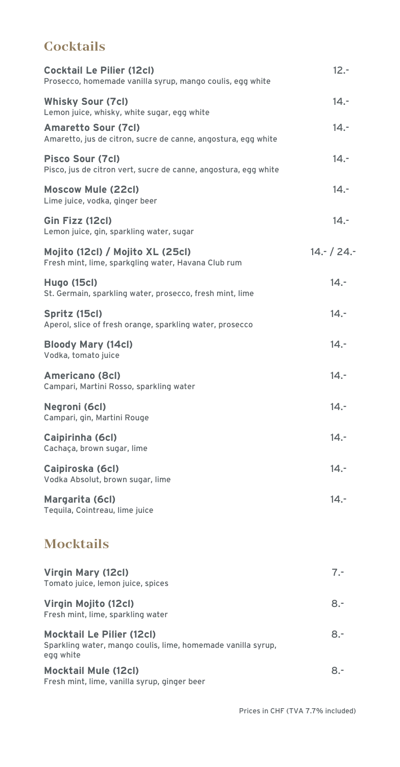### **Cocktails**

| <b>Cocktail Le Pilier (12cl)</b><br>Prosecco, homemade vanilla syrup, mango coulis, egg white | $12 -$      |
|-----------------------------------------------------------------------------------------------|-------------|
| <b>Whisky Sour (7cl)</b><br>Lemon juice, whisky, white sugar, egg white                       | $14. -$     |
| <b>Amaretto Sour (7cl)</b><br>Amaretto, jus de citron, sucre de canne, angostura, egg white   | $14. -$     |
| <b>Pisco Sour (7cl)</b><br>Pisco, jus de citron vert, sucre de canne, angostura, egg white    | $14. -$     |
| <b>Moscow Mule (22cl)</b><br>Lime juice, vodka, ginger beer                                   | $14. -$     |
| Gin Fizz (12cl)<br>Lemon juice, gin, sparkling water, sugar                                   | $14. -$     |
| Mojito (12cl) / Mojito XL (25cl)<br>Fresh mint, lime, sparkgling water, Havana Club rum       | $14 - 24 -$ |
| <b>Hugo (15cl)</b><br>St. Germain, sparkling water, prosecco, fresh mint, lime                | $14. -$     |
| Spritz (15cl)<br>Aperol, slice of fresh orange, sparkling water, prosecco                     | $14. -$     |
| <b>Bloody Mary (14cl)</b><br>Vodka, tomato juice                                              | $14. -$     |
| <b>Americano (8cl)</b><br>Campari, Martini Rosso, sparkling water                             | $14. -$     |
| Negroni (6cl)<br>Campari, gin, Martini Rouge                                                  | $14. -$     |
| Caipirinha (6cl)<br>Cachaça, brown sugar, lime                                                | $14. -$     |
| Caipiroska (6cl)<br>Vodka Absolut, brown sugar, lime                                          | $14. -$     |
| Margarita (6cl)<br>Tequila, Cointreau, lime juice                                             | $14. -$     |
| <b>Mocktails</b>                                                                              |             |
|                                                                                               |             |

| Virgin Mary (12cl)<br>Tomato juice, lemon juice, spices                                                       | $7 -$ |
|---------------------------------------------------------------------------------------------------------------|-------|
| Virgin Mojito (12cl)<br>Fresh mint, lime, sparkling water                                                     | $8 -$ |
| <b>Mocktail Le Pilier (12cl)</b><br>Sparkling water, mango coulis, lime, homemade vanilla syrup,<br>egg white | $8 -$ |
| <b>Mocktail Mule (12cl)</b><br>Fresh mint, lime, vanilla syrup, ginger beer                                   | 8.-   |

Prices in CHF (TVA 7.7% included)